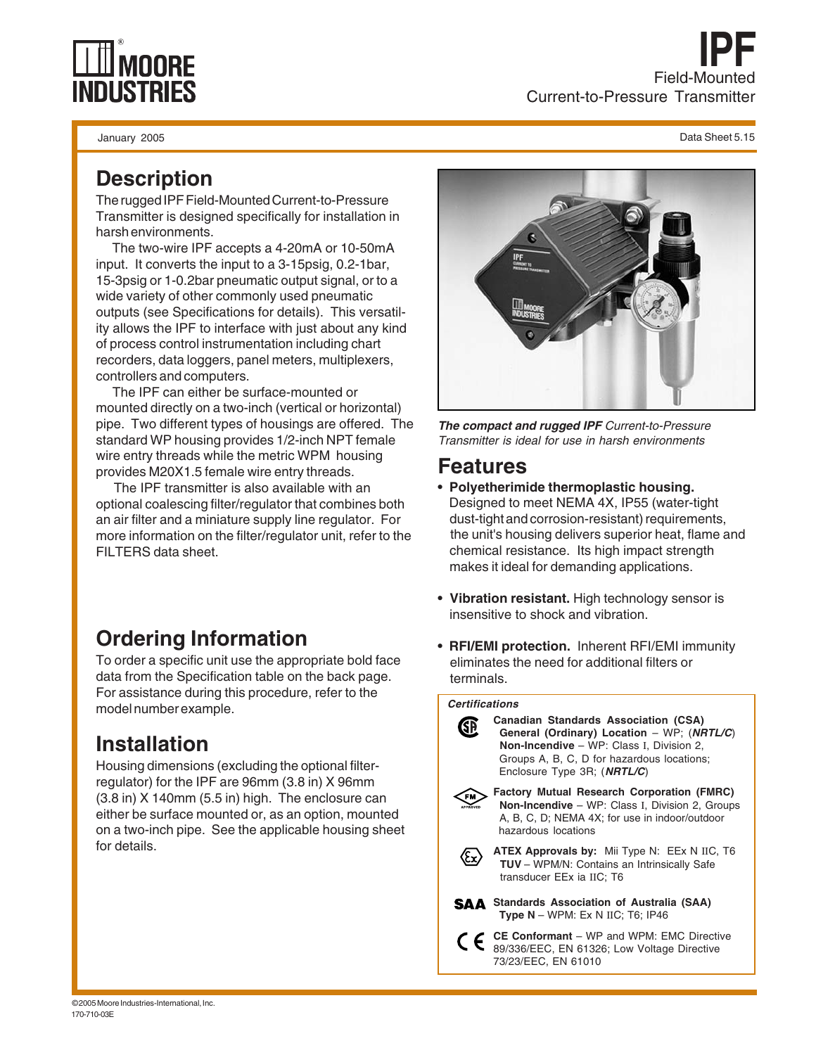# **IPF** Field-Mounted Current-to-Pressure Transmitter

January 2005 Data Sheet 5.15

### **Description**

The rugged IPF Field-Mounted Current-to-Pressure Transmitter is designed specifically for installation in harsh environments.

 The two-wire IPF accepts a 4-20mA or 10-50mA input. It converts the input to a 3-15psig, 0.2-1bar, 15-3psig or 1-0.2bar pneumatic output signal, or to a wide variety of other commonly used pneumatic outputs (see Specifications for details). This versatility allows the IPF to interface with just about any kind of process control instrumentation including chart recorders, data loggers, panel meters, multiplexers, controllers and computers.

 The IPF can either be surface-mounted or mounted directly on a two-inch (vertical or horizontal) pipe. Two different types of housings are offered. The standard WP housing provides 1/2-inch NPT female wire entry threads while the metric WPM housing provides M20X1.5 female wire entry threads.

 The IPF transmitter is also available with an optional coalescing filter/regulator that combines both an air filter and a miniature supply line regulator. For more information on the filter/regulator unit, refer to the FILTERS data sheet.

# **Ordering Information**

To order a specific unit use the appropriate bold face data from the Specification table on the back page. For assistance during this procedure, refer to the model number example.

# **Installation**

Housing dimensions (excluding the optional filterregulator) for the IPF are 96mm (3.8 in) X 96mm (3.8 in) X 140mm (5.5 in) high. The enclosure can either be surface mounted or, as an option, mounted on a two-inch pipe. See the applicable housing sheet for details.



**The compact and rugged IPF** Current-to-Pressure Transmitter is ideal for use in harsh environments

#### **Features**

- **Polyetherimide thermoplastic housing.** Designed to meet NEMA 4X, IP55 (water-tight dust-tight and corrosion-resistant) requirements, the unit's housing delivers superior heat, flame and chemical resistance. Its high impact strength makes it ideal for demanding applications.
- **Vibration resistant.** High technology sensor is insensitive to shock and vibration.
- **RFI/EMI protection.** Inherent RFI/EMI immunity eliminates the need for additional filters or terminals.

#### **Certifications**



**Canadian Standards Association (CSA) General (Ordinary) Location** – WP; (**NRTL/C**)  **Non-Incendive** – WP: Class I, Division 2, Groups A, B, C, D for hazardous locations; Enclosure Type 3R; (**NRTL/C**)



**Factory Mutual Research Corporation (FMRC) Non-Incendive** – WP: Class I, Division 2, Groups A, B, C, D; NEMA 4X; for use in indoor/outdoor hazardous locations



**ATEX Approvals by:** Mii Type N: EEx N IIC, T6 **TUV** – WPM/N: Contains an Intrinsically Safe transducer EEx ia IIC; T6



**CE Conformant** – WP and WPM: EMC Directive C E 89/336/EEC, EN 61326; Low Voltage Directive 73/23/EEC, EN 61010